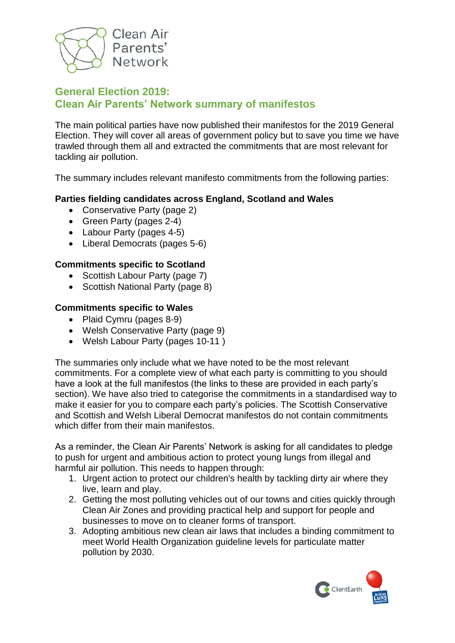

### **General Election 2019: Clean Air Parents' Network summary of manifestos**

The main political parties have now published their manifestos for the 2019 General Election. They will cover all areas of government policy but to save you time we have trawled through them all and extracted the commitments that are most relevant for tackling air pollution.

The summary includes relevant manifesto commitments from the following parties:

### **Parties fielding candidates across England, Scotland and Wales**

- Conservative Party (page 2)
- Green Party (pages 2-4)
- Labour Party (pages 4-5)
- Liberal Democrats (pages 5-6)

#### **Commitments specific to Scotland**

- Scottish Labour Party (page 7)
- Scottish National Party (page 8)

#### **Commitments specific to Wales**

- Plaid Cymru (pages 8-9)
- Welsh Conservative Party (page 9)
- Welsh Labour Party (pages 10-11 )

The summaries only include what we have noted to be the most relevant commitments. For a complete view of what each party is committing to you should have a look at the full manifestos (the links to these are provided in each party's section). We have also tried to categorise the commitments in a standardised way to make it easier for you to compare each party's policies. The Scottish Conservative and Scottish and Welsh Liberal Democrat manifestos do not contain commitments which differ from their main manifestos.

As a reminder, the Clean Air Parents' Network is asking for all candidates to pledge to push for urgent and ambitious action to protect young lungs from illegal and harmful air pollution. This needs to happen through:

- 1. Urgent action to protect our children's health by tackling dirty air where they live, learn and play.
- 2. Getting the most polluting vehicles out of our towns and cities quickly through Clean Air Zones and providing practical help and support for people and businesses to move on to cleaner forms of transport.
- 3. Adopting ambitious new clean air laws that includes a binding commitment to meet World Health Organization guideline levels for particulate matter pollution by 2030.

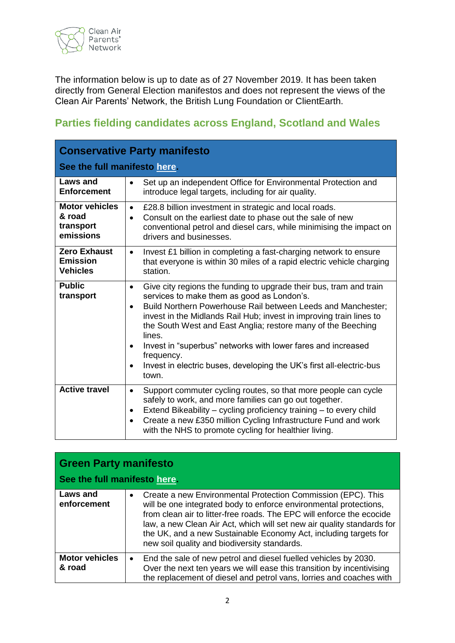

The information below is up to date as of 27 November 2019. It has been taken directly from General Election manifestos and does not represent the views of the Clean Air Parents' Network, the British Lung Foundation or ClientEarth.

### **Parties fielding candidates across England, Scotland and Wales**

| <b>Conservative Party manifesto</b>                       |                                                                                                                                                                                                                                                                                                                                                                                                                                                                                                                            |
|-----------------------------------------------------------|----------------------------------------------------------------------------------------------------------------------------------------------------------------------------------------------------------------------------------------------------------------------------------------------------------------------------------------------------------------------------------------------------------------------------------------------------------------------------------------------------------------------------|
| See the full manifesto here.                              |                                                                                                                                                                                                                                                                                                                                                                                                                                                                                                                            |
| Laws and<br><b>Enforcement</b>                            | Set up an independent Office for Environmental Protection and<br>introduce legal targets, including for air quality.                                                                                                                                                                                                                                                                                                                                                                                                       |
| <b>Motor vehicles</b><br>& road<br>transport<br>emissions | £28.8 billion investment in strategic and local roads.<br>$\bullet$<br>Consult on the earliest date to phase out the sale of new<br>٠<br>conventional petrol and diesel cars, while minimising the impact on<br>drivers and businesses.                                                                                                                                                                                                                                                                                    |
| <b>Zero Exhaust</b><br><b>Emission</b><br><b>Vehicles</b> | Invest £1 billion in completing a fast-charging network to ensure<br>$\bullet$<br>that everyone is within 30 miles of a rapid electric vehicle charging<br>station.                                                                                                                                                                                                                                                                                                                                                        |
| <b>Public</b><br>transport                                | Give city regions the funding to upgrade their bus, tram and train<br>$\bullet$<br>services to make them as good as London's.<br>Build Northern Powerhouse Rail between Leeds and Manchester;<br>$\bullet$<br>invest in the Midlands Rail Hub; invest in improving train lines to<br>the South West and East Anglia; restore many of the Beeching<br>lines.<br>Invest in "superbus" networks with lower fares and increased<br>frequency.<br>Invest in electric buses, developing the UK's first all-electric-bus<br>town. |
| <b>Active travel</b>                                      | Support commuter cycling routes, so that more people can cycle<br>$\bullet$<br>safely to work, and more families can go out together.<br>Extend Bikeability - cycling proficiency training - to every child<br>Create a new £350 million Cycling Infrastructure Fund and work<br>$\bullet$<br>with the NHS to promote cycling for healthier living.                                                                                                                                                                        |

| <b>Green Party manifesto</b>    |                                                                                                                                                                                                                                                                                                                                                                                                                       |  |
|---------------------------------|-----------------------------------------------------------------------------------------------------------------------------------------------------------------------------------------------------------------------------------------------------------------------------------------------------------------------------------------------------------------------------------------------------------------------|--|
| See the full manifesto here.    |                                                                                                                                                                                                                                                                                                                                                                                                                       |  |
| Laws and<br>enforcement         | Create a new Environmental Protection Commission (EPC). This<br>$\bullet$<br>will be one integrated body to enforce environmental protections,<br>from clean air to litter-free roads. The EPC will enforce the ecocide<br>law, a new Clean Air Act, which will set new air quality standards for<br>the UK, and a new Sustainable Economy Act, including targets for<br>new soil quality and biodiversity standards. |  |
| <b>Motor vehicles</b><br>& road | End the sale of new petrol and diesel fuelled vehicles by 2030.<br>$\bullet$<br>Over the next ten years we will ease this transition by incentivising<br>the replacement of diesel and petrol vans, lorries and coaches with                                                                                                                                                                                          |  |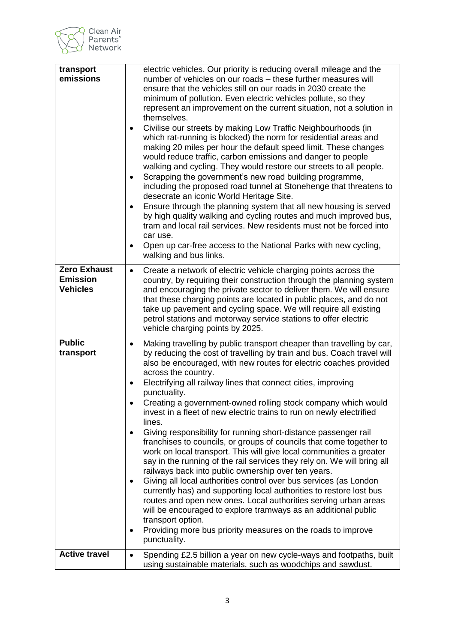

| transport<br>emissions                                    | electric vehicles. Our priority is reducing overall mileage and the<br>number of vehicles on our roads - these further measures will<br>ensure that the vehicles still on our roads in 2030 create the<br>minimum of pollution. Even electric vehicles pollute, so they<br>represent an improvement on the current situation, not a solution in<br>themselves.<br>Civilise our streets by making Low Traffic Neighbourhoods (in<br>which rat-running is blocked) the norm for residential areas and<br>making 20 miles per hour the default speed limit. These changes<br>would reduce traffic, carbon emissions and danger to people<br>walking and cycling. They would restore our streets to all people.<br>Scrapping the government's new road building programme,<br>$\bullet$<br>including the proposed road tunnel at Stonehenge that threatens to<br>desecrate an iconic World Heritage Site.<br>Ensure through the planning system that all new housing is served<br>by high quality walking and cycling routes and much improved bus,<br>tram and local rail services. New residents must not be forced into<br>car use.<br>Open up car-free access to the National Parks with new cycling,<br>$\bullet$<br>walking and bus links.                         |
|-----------------------------------------------------------|----------------------------------------------------------------------------------------------------------------------------------------------------------------------------------------------------------------------------------------------------------------------------------------------------------------------------------------------------------------------------------------------------------------------------------------------------------------------------------------------------------------------------------------------------------------------------------------------------------------------------------------------------------------------------------------------------------------------------------------------------------------------------------------------------------------------------------------------------------------------------------------------------------------------------------------------------------------------------------------------------------------------------------------------------------------------------------------------------------------------------------------------------------------------------------------------------------------------------------------------------------------------|
| <b>Zero Exhaust</b><br><b>Emission</b><br><b>Vehicles</b> | Create a network of electric vehicle charging points across the<br>$\bullet$<br>country, by requiring their construction through the planning system<br>and encouraging the private sector to deliver them. We will ensure<br>that these charging points are located in public places, and do not<br>take up pavement and cycling space. We will require all existing<br>petrol stations and motorway service stations to offer electric<br>vehicle charging points by 2025.                                                                                                                                                                                                                                                                                                                                                                                                                                                                                                                                                                                                                                                                                                                                                                                         |
| <b>Public</b><br>transport                                | Making travelling by public transport cheaper than travelling by car,<br>$\bullet$<br>by reducing the cost of travelling by train and bus. Coach travel will<br>also be encouraged, with new routes for electric coaches provided<br>across the country.<br>Electrifying all railway lines that connect cities, improving<br>$\bullet$<br>punctuality.<br>Creating a government-owned rolling stock company which would<br>invest in a fleet of new electric trains to run on newly electrified<br>lines.<br>Giving responsibility for running short-distance passenger rail<br>franchises to councils, or groups of councils that come together to<br>work on local transport. This will give local communities a greater<br>say in the running of the rail services they rely on. We will bring all<br>railways back into public ownership over ten years.<br>Giving all local authorities control over bus services (as London<br>$\bullet$<br>currently has) and supporting local authorities to restore lost bus<br>routes and open new ones. Local authorities serving urban areas<br>will be encouraged to explore tramways as an additional public<br>transport option.<br>Providing more bus priority measures on the roads to improve<br>٠<br>punctuality. |
| <b>Active travel</b>                                      | Spending £2.5 billion a year on new cycle-ways and footpaths, built<br>$\bullet$<br>using sustainable materials, such as woodchips and sawdust.                                                                                                                                                                                                                                                                                                                                                                                                                                                                                                                                                                                                                                                                                                                                                                                                                                                                                                                                                                                                                                                                                                                      |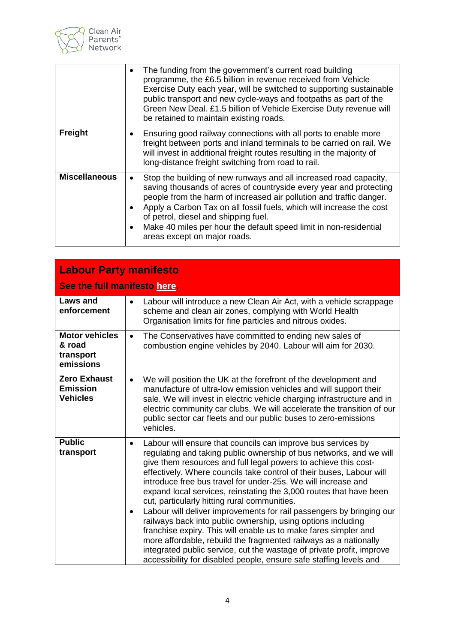

|                      | The funding from the government's current road building<br>programme, the £6.5 billion in revenue received from Vehicle<br>Exercise Duty each year, will be switched to supporting sustainable<br>public transport and new cycle-ways and footpaths as part of the<br>Green New Deal. £1.5 billion of Vehicle Exercise Duty revenue will<br>be retained to maintain existing roads.                                                 |
|----------------------|-------------------------------------------------------------------------------------------------------------------------------------------------------------------------------------------------------------------------------------------------------------------------------------------------------------------------------------------------------------------------------------------------------------------------------------|
| Freight              | Ensuring good railway connections with all ports to enable more<br>$\bullet$<br>freight between ports and inland terminals to be carried on rail. We<br>will invest in additional freight routes resulting in the majority of<br>long-distance freight switching from road to rail.                                                                                                                                                 |
| <b>Miscellaneous</b> | Stop the building of new runways and all increased road capacity,<br>saving thousands of acres of countryside every year and protecting<br>people from the harm of increased air pollution and traffic danger.<br>Apply a Carbon Tax on all fossil fuels, which will increase the cost<br>of petrol, diesel and shipping fuel.<br>Make 40 miles per hour the default speed limit in non-residential<br>areas except on major roads. |

| <b>Labour Party manifesto</b>                             |                                                                                                                                                                                                                                                                                                                                                                                                                                                                                                                                                                                                                                                                                                                                                                                                                                                                                                                               |  |
|-----------------------------------------------------------|-------------------------------------------------------------------------------------------------------------------------------------------------------------------------------------------------------------------------------------------------------------------------------------------------------------------------------------------------------------------------------------------------------------------------------------------------------------------------------------------------------------------------------------------------------------------------------------------------------------------------------------------------------------------------------------------------------------------------------------------------------------------------------------------------------------------------------------------------------------------------------------------------------------------------------|--|
|                                                           | See the full manifesto here.                                                                                                                                                                                                                                                                                                                                                                                                                                                                                                                                                                                                                                                                                                                                                                                                                                                                                                  |  |
| <b>Laws and</b><br>enforcement                            | Labour will introduce a new Clean Air Act, with a vehicle scrappage<br>$\bullet$<br>scheme and clean air zones, complying with World Health<br>Organisation limits for fine particles and nitrous oxides.                                                                                                                                                                                                                                                                                                                                                                                                                                                                                                                                                                                                                                                                                                                     |  |
| <b>Motor vehicles</b><br>& road<br>transport<br>emissions | The Conservatives have committed to ending new sales of<br>$\bullet$<br>combustion engine vehicles by 2040. Labour will aim for 2030.                                                                                                                                                                                                                                                                                                                                                                                                                                                                                                                                                                                                                                                                                                                                                                                         |  |
| <b>Zero Exhaust</b><br><b>Emission</b><br><b>Vehicles</b> | We will position the UK at the forefront of the development and<br>$\bullet$<br>manufacture of ultra-low emission vehicles and will support their<br>sale. We will invest in electric vehicle charging infrastructure and in<br>electric community car clubs. We will accelerate the transition of our<br>public sector car fleets and our public buses to zero-emissions<br>vehicles.                                                                                                                                                                                                                                                                                                                                                                                                                                                                                                                                        |  |
| <b>Public</b><br>transport                                | Labour will ensure that councils can improve bus services by<br>$\bullet$<br>regulating and taking public ownership of bus networks, and we will<br>give them resources and full legal powers to achieve this cost-<br>effectively. Where councils take control of their buses, Labour will<br>introduce free bus travel for under-25s. We will increase and<br>expand local services, reinstating the 3,000 routes that have been<br>cut, particularly hitting rural communities.<br>Labour will deliver improvements for rail passengers by bringing our<br>$\bullet$<br>railways back into public ownership, using options including<br>franchise expiry. This will enable us to make fares simpler and<br>more affordable, rebuild the fragmented railways as a nationally<br>integrated public service, cut the wastage of private profit, improve<br>accessibility for disabled people, ensure safe staffing levels and |  |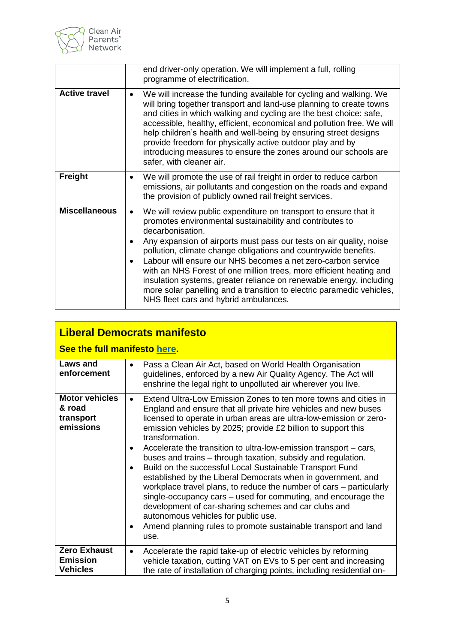

|                      | end driver-only operation. We will implement a full, rolling<br>programme of electrification.                                                                                                                                                                                                                                                                                                                                                                                                                                                                                                                                   |
|----------------------|---------------------------------------------------------------------------------------------------------------------------------------------------------------------------------------------------------------------------------------------------------------------------------------------------------------------------------------------------------------------------------------------------------------------------------------------------------------------------------------------------------------------------------------------------------------------------------------------------------------------------------|
| <b>Active travel</b> | We will increase the funding available for cycling and walking. We<br>٠<br>will bring together transport and land-use planning to create towns<br>and cities in which walking and cycling are the best choice: safe,<br>accessible, healthy, efficient, economical and pollution free. We will<br>help children's health and well-being by ensuring street designs<br>provide freedom for physically active outdoor play and by<br>introducing measures to ensure the zones around our schools are<br>safer, with cleaner air.                                                                                                  |
| <b>Freight</b>       | We will promote the use of rail freight in order to reduce carbon<br>emissions, air pollutants and congestion on the roads and expand<br>the provision of publicly owned rail freight services.                                                                                                                                                                                                                                                                                                                                                                                                                                 |
| <b>Miscellaneous</b> | We will review public expenditure on transport to ensure that it<br>٠<br>promotes environmental sustainability and contributes to<br>decarbonisation.<br>Any expansion of airports must pass our tests on air quality, noise<br>pollution, climate change obligations and countrywide benefits.<br>Labour will ensure our NHS becomes a net zero-carbon service<br>with an NHS Forest of one million trees, more efficient heating and<br>insulation systems, greater reliance on renewable energy, including<br>more solar panelling and a transition to electric paramedic vehicles,<br>NHS fleet cars and hybrid ambulances. |

## **Liberal Democrats manifesto**

## **See the full manifesto [here.](https://d3n8a8pro7vhmx.cloudfront.net/libdems/pages/57307/attachments/original/1574684060/Stop_Brexit_and_Build_a_Brighter_Future.pdf?1574684060)**

| Laws and<br>enforcement                                   | Pass a Clean Air Act, based on World Health Organisation<br>guidelines, enforced by a new Air Quality Agency. The Act will<br>enshrine the legal right to unpolluted air wherever you live.                                                                                                                                                                                                                                                                                                                                                                                                                                                                                                                                                                                                                                                                                    |
|-----------------------------------------------------------|--------------------------------------------------------------------------------------------------------------------------------------------------------------------------------------------------------------------------------------------------------------------------------------------------------------------------------------------------------------------------------------------------------------------------------------------------------------------------------------------------------------------------------------------------------------------------------------------------------------------------------------------------------------------------------------------------------------------------------------------------------------------------------------------------------------------------------------------------------------------------------|
| <b>Motor vehicles</b><br>& road<br>transport<br>emissions | Extend Ultra-Low Emission Zones to ten more towns and cities in<br>England and ensure that all private hire vehicles and new buses<br>licensed to operate in urban areas are ultra-low-emission or zero-<br>emission vehicles by 2025; provide £2 billion to support this<br>transformation.<br>Accelerate the transition to ultra-low-emission transport – cars,<br>buses and trains – through taxation, subsidy and regulation.<br>Build on the successful Local Sustainable Transport Fund<br>established by the Liberal Democrats when in government, and<br>workplace travel plans, to reduce the number of cars – particularly<br>single-occupancy cars – used for commuting, and encourage the<br>development of car-sharing schemes and car clubs and<br>autonomous vehicles for public use.<br>Amend planning rules to promote sustainable transport and land<br>use. |
| <b>Zero Exhaust</b><br><b>Emission</b><br><b>Vehicles</b> | Accelerate the rapid take-up of electric vehicles by reforming<br>$\bullet$<br>vehicle taxation, cutting VAT on EVs to 5 per cent and increasing<br>the rate of installation of charging points, including residential on-                                                                                                                                                                                                                                                                                                                                                                                                                                                                                                                                                                                                                                                     |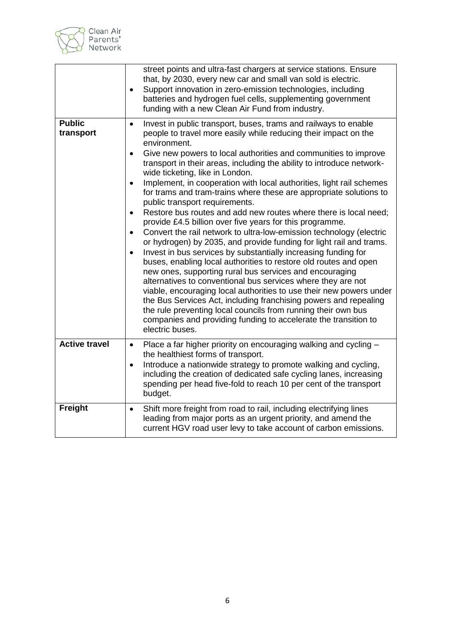

|                            | street points and ultra-fast chargers at service stations. Ensure<br>that, by 2030, every new car and small van sold is electric.<br>Support innovation in zero-emission technologies, including<br>batteries and hydrogen fuel cells, supplementing government<br>funding with a new Clean Air Fund from industry.                                                                                                                                                                                                                                                                                                                                                                                                                                                                                                                                                                                                                                                                                                                                                                                                                                                                                                                                                                                                                                                                                       |
|----------------------------|-----------------------------------------------------------------------------------------------------------------------------------------------------------------------------------------------------------------------------------------------------------------------------------------------------------------------------------------------------------------------------------------------------------------------------------------------------------------------------------------------------------------------------------------------------------------------------------------------------------------------------------------------------------------------------------------------------------------------------------------------------------------------------------------------------------------------------------------------------------------------------------------------------------------------------------------------------------------------------------------------------------------------------------------------------------------------------------------------------------------------------------------------------------------------------------------------------------------------------------------------------------------------------------------------------------------------------------------------------------------------------------------------------------|
| <b>Public</b><br>transport | Invest in public transport, buses, trams and railways to enable<br>$\bullet$<br>people to travel more easily while reducing their impact on the<br>environment.<br>Give new powers to local authorities and communities to improve<br>transport in their areas, including the ability to introduce network-<br>wide ticketing, like in London.<br>Implement, in cooperation with local authorities, light rail schemes<br>for trams and tram-trains where these are appropriate solutions to<br>public transport requirements.<br>Restore bus routes and add new routes where there is local need;<br>$\bullet$<br>provide £4.5 billion over five years for this programme.<br>Convert the rail network to ultra-low-emission technology (electric<br>or hydrogen) by 2035, and provide funding for light rail and trams.<br>Invest in bus services by substantially increasing funding for<br>$\bullet$<br>buses, enabling local authorities to restore old routes and open<br>new ones, supporting rural bus services and encouraging<br>alternatives to conventional bus services where they are not<br>viable, encouraging local authorities to use their new powers under<br>the Bus Services Act, including franchising powers and repealing<br>the rule preventing local councils from running their own bus<br>companies and providing funding to accelerate the transition to<br>electric buses. |
| <b>Active travel</b>       | Place a far higher priority on encouraging walking and cycling -<br>$\bullet$<br>the healthiest forms of transport.<br>Introduce a nationwide strategy to promote walking and cycling,<br>$\bullet$<br>including the creation of dedicated safe cycling lanes, increasing<br>spending per head five-fold to reach 10 per cent of the transport<br>budget.                                                                                                                                                                                                                                                                                                                                                                                                                                                                                                                                                                                                                                                                                                                                                                                                                                                                                                                                                                                                                                                 |
| Freight                    | Shift more freight from road to rail, including electrifying lines<br>$\bullet$<br>leading from major ports as an urgent priority, and amend the<br>current HGV road user levy to take account of carbon emissions.                                                                                                                                                                                                                                                                                                                                                                                                                                                                                                                                                                                                                                                                                                                                                                                                                                                                                                                                                                                                                                                                                                                                                                                       |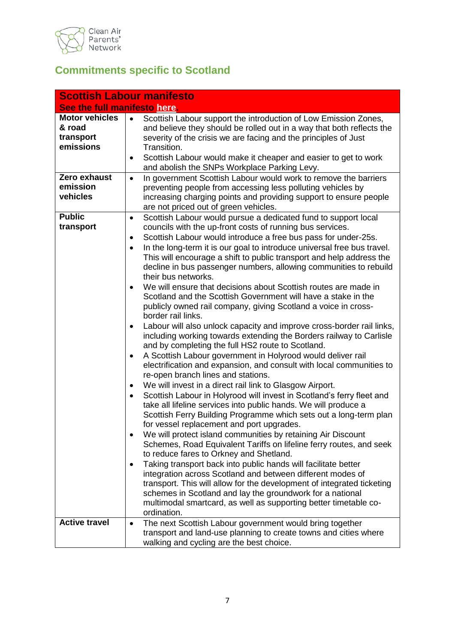

## **Commitments specific to Scotland**

|                                                           | <b>Scottish Labour manifesto</b>                                                                                                                                                                                                                                                                                                                                                                                                                                                                                                                                                                                                                                                                                                                                                                                                                                                                                                                                                                                                                                                                                                                                                                                                                                                                                                                                                                                                                                                                                                                                                                                                                                                                                                                                                                                                                                                                                                                                                                                                      |
|-----------------------------------------------------------|---------------------------------------------------------------------------------------------------------------------------------------------------------------------------------------------------------------------------------------------------------------------------------------------------------------------------------------------------------------------------------------------------------------------------------------------------------------------------------------------------------------------------------------------------------------------------------------------------------------------------------------------------------------------------------------------------------------------------------------------------------------------------------------------------------------------------------------------------------------------------------------------------------------------------------------------------------------------------------------------------------------------------------------------------------------------------------------------------------------------------------------------------------------------------------------------------------------------------------------------------------------------------------------------------------------------------------------------------------------------------------------------------------------------------------------------------------------------------------------------------------------------------------------------------------------------------------------------------------------------------------------------------------------------------------------------------------------------------------------------------------------------------------------------------------------------------------------------------------------------------------------------------------------------------------------------------------------------------------------------------------------------------------------|
| See the full manifesto here.                              |                                                                                                                                                                                                                                                                                                                                                                                                                                                                                                                                                                                                                                                                                                                                                                                                                                                                                                                                                                                                                                                                                                                                                                                                                                                                                                                                                                                                                                                                                                                                                                                                                                                                                                                                                                                                                                                                                                                                                                                                                                       |
| <b>Motor vehicles</b><br>& road<br>transport<br>emissions | Scottish Labour support the introduction of Low Emission Zones,<br>and believe they should be rolled out in a way that both reflects the<br>severity of the crisis we are facing and the principles of Just<br>Transition.<br>Scottish Labour would make it cheaper and easier to get to work<br>$\bullet$<br>and abolish the SNPs Workplace Parking Levy.                                                                                                                                                                                                                                                                                                                                                                                                                                                                                                                                                                                                                                                                                                                                                                                                                                                                                                                                                                                                                                                                                                                                                                                                                                                                                                                                                                                                                                                                                                                                                                                                                                                                            |
| Zero exhaust<br>emission<br>vehicles                      | In government Scottish Labour would work to remove the barriers<br>$\bullet$<br>preventing people from accessing less polluting vehicles by<br>increasing charging points and providing support to ensure people<br>are not priced out of green vehicles.                                                                                                                                                                                                                                                                                                                                                                                                                                                                                                                                                                                                                                                                                                                                                                                                                                                                                                                                                                                                                                                                                                                                                                                                                                                                                                                                                                                                                                                                                                                                                                                                                                                                                                                                                                             |
| <b>Public</b><br>transport                                | Scottish Labour would pursue a dedicated fund to support local<br>٠<br>councils with the up-front costs of running bus services.<br>Scottish Labour would introduce a free bus pass for under-25s.<br>$\bullet$<br>In the long-term it is our goal to introduce universal free bus travel.<br>$\bullet$<br>This will encourage a shift to public transport and help address the<br>decline in bus passenger numbers, allowing communities to rebuild<br>their bus networks.<br>We will ensure that decisions about Scottish routes are made in<br>$\bullet$<br>Scotland and the Scottish Government will have a stake in the<br>publicly owned rail company, giving Scotland a voice in cross-<br>border rail links.<br>Labour will also unlock capacity and improve cross-border rail links,<br>$\bullet$<br>including working towards extending the Borders railway to Carlisle<br>and by completing the full HS2 route to Scotland.<br>A Scottish Labour government in Holyrood would deliver rail<br>$\bullet$<br>electrification and expansion, and consult with local communities to<br>re-open branch lines and stations.<br>We will invest in a direct rail link to Glasgow Airport.<br>٠<br>Scottish Labour in Holyrood will invest in Scotland's ferry fleet and<br>$\bullet$<br>take all lifeline services into public hands. We will produce a<br>Scottish Ferry Building Programme which sets out a long-term plan<br>for vessel replacement and port upgrades.<br>We will protect island communities by retaining Air Discount<br>Schemes, Road Equivalent Tariffs on lifeline ferry routes, and seek<br>to reduce fares to Orkney and Shetland.<br>Taking transport back into public hands will facilitate better<br>$\bullet$<br>integration across Scotland and between different modes of<br>transport. This will allow for the development of integrated ticketing<br>schemes in Scotland and lay the groundwork for a national<br>multimodal smartcard, as well as supporting better timetable co-<br>ordination. |
| <b>Active travel</b>                                      | The next Scottish Labour government would bring together<br>$\bullet$<br>transport and land-use planning to create towns and cities where<br>walking and cycling are the best choice.                                                                                                                                                                                                                                                                                                                                                                                                                                                                                                                                                                                                                                                                                                                                                                                                                                                                                                                                                                                                                                                                                                                                                                                                                                                                                                                                                                                                                                                                                                                                                                                                                                                                                                                                                                                                                                                 |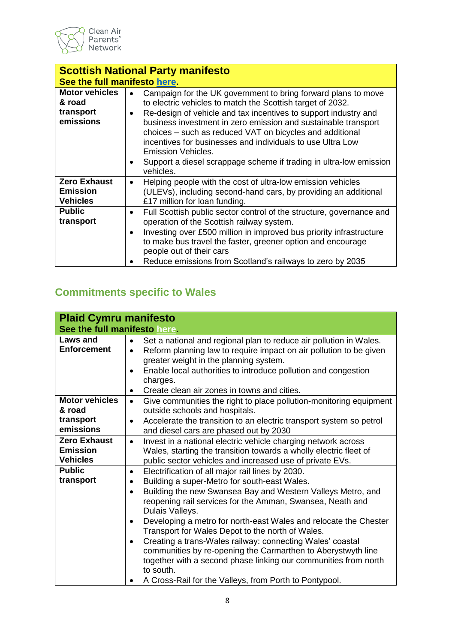

| <b>Scottish National Party manifesto</b>                  |                                                                                                                                                                                                                                                                                                                                                                                            |  |  |
|-----------------------------------------------------------|--------------------------------------------------------------------------------------------------------------------------------------------------------------------------------------------------------------------------------------------------------------------------------------------------------------------------------------------------------------------------------------------|--|--|
|                                                           | See the full manifesto here.                                                                                                                                                                                                                                                                                                                                                               |  |  |
| <b>Motor vehicles</b><br>& road<br>transport<br>emissions | Campaign for the UK government to bring forward plans to move<br>to electric vehicles to match the Scottish target of 2032.<br>Re-design of vehicle and tax incentives to support industry and<br>business investment in zero emission and sustainable transport<br>choices – such as reduced VAT on bicycles and additional<br>incentives for businesses and individuals to use Ultra Low |  |  |
|                                                           | Emission Vehicles.<br>Support a diesel scrappage scheme if trading in ultra-low emission<br>vehicles.                                                                                                                                                                                                                                                                                      |  |  |
| <b>Zero Exhaust</b><br><b>Emission</b><br><b>Vehicles</b> | Helping people with the cost of ultra-low emission vehicles<br>$\bullet$<br>(ULEVs), including second-hand cars, by providing an additional<br>£17 million for loan funding.                                                                                                                                                                                                               |  |  |
| <b>Public</b><br>transport                                | Full Scottish public sector control of the structure, governance and<br>$\bullet$<br>operation of the Scottish railway system.<br>Investing over £500 million in improved bus priority infrastructure<br>to make bus travel the faster, greener option and encourage<br>people out of their cars<br>Reduce emissions from Scotland's railways to zero by 2035                              |  |  |

# **Commitments specific to Wales**

| <b>Plaid Cymru manifesto</b>                              |                                                                                                                                                                                                                                                                                                                                                                                                                                                                                                                                                                                                                                                                               |
|-----------------------------------------------------------|-------------------------------------------------------------------------------------------------------------------------------------------------------------------------------------------------------------------------------------------------------------------------------------------------------------------------------------------------------------------------------------------------------------------------------------------------------------------------------------------------------------------------------------------------------------------------------------------------------------------------------------------------------------------------------|
| See the full manifesto here.                              |                                                                                                                                                                                                                                                                                                                                                                                                                                                                                                                                                                                                                                                                               |
| Laws and<br><b>Enforcement</b>                            | Set a national and regional plan to reduce air pollution in Wales.<br>$\bullet$<br>Reform planning law to require impact on air pollution to be given<br>$\bullet$<br>greater weight in the planning system.<br>Enable local authorities to introduce pollution and congestion<br>charges.<br>Create clean air zones in towns and cities.<br>$\bullet$                                                                                                                                                                                                                                                                                                                        |
| <b>Motor vehicles</b><br>& road<br>transport<br>emissions | Give communities the right to place pollution-monitoring equipment<br>$\bullet$<br>outside schools and hospitals.<br>Accelerate the transition to an electric transport system so petrol<br>$\bullet$<br>and diesel cars are phased out by 2030                                                                                                                                                                                                                                                                                                                                                                                                                               |
| <b>Zero Exhaust</b><br><b>Emission</b><br><b>Vehicles</b> | Invest in a national electric vehicle charging network across<br>$\bullet$<br>Wales, starting the transition towards a wholly electric fleet of<br>public sector vehicles and increased use of private EVs.                                                                                                                                                                                                                                                                                                                                                                                                                                                                   |
| <b>Public</b><br>transport                                | Electrification of all major rail lines by 2030.<br>$\bullet$<br>Building a super-Metro for south-east Wales.<br>٠<br>Building the new Swansea Bay and Western Valleys Metro, and<br>reopening rail services for the Amman, Swansea, Neath and<br>Dulais Valleys.<br>Developing a metro for north-east Wales and relocate the Chester<br>Transport for Wales Depot to the north of Wales.<br>Creating a trans-Wales railway: connecting Wales' coastal<br>$\bullet$<br>communities by re-opening the Carmarthen to Aberystwyth line<br>together with a second phase linking our communities from north<br>to south.<br>A Cross-Rail for the Valleys, from Porth to Pontypool. |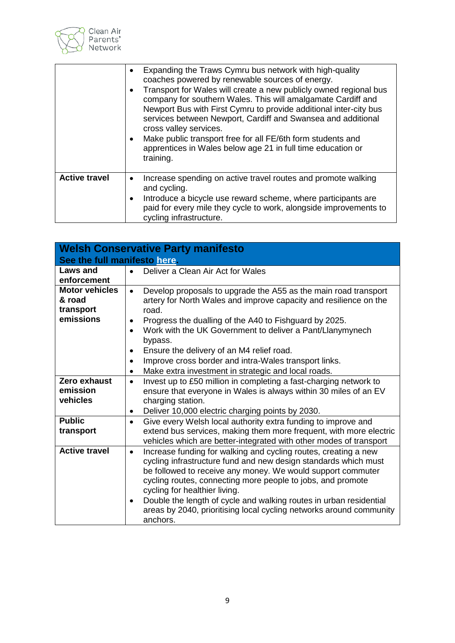

|                      | Expanding the Traws Cymru bus network with high-quality<br>coaches powered by renewable sources of energy.<br>Transport for Wales will create a new publicly owned regional bus<br>company for southern Wales. This will amalgamate Cardiff and<br>Newport Bus with First Cymru to provide additional inter-city bus<br>services between Newport, Cardiff and Swansea and additional<br>cross valley services.<br>Make public transport free for all FE/6th form students and<br>apprentices in Wales below age 21 in full time education or<br>training. |
|----------------------|-----------------------------------------------------------------------------------------------------------------------------------------------------------------------------------------------------------------------------------------------------------------------------------------------------------------------------------------------------------------------------------------------------------------------------------------------------------------------------------------------------------------------------------------------------------|
| <b>Active travel</b> | Increase spending on active travel routes and promote walking<br>and cycling.<br>Introduce a bicycle use reward scheme, where participants are<br>paid for every mile they cycle to work, alongside improvements to<br>cycling infrastructure.                                                                                                                                                                                                                                                                                                            |

| <b>Welsh Conservative Party manifesto</b><br>See the full manifesto here. |                                                                                                                                                                                                                                                                                                                                                                                                                                                                                      |  |
|---------------------------------------------------------------------------|--------------------------------------------------------------------------------------------------------------------------------------------------------------------------------------------------------------------------------------------------------------------------------------------------------------------------------------------------------------------------------------------------------------------------------------------------------------------------------------|--|
| <b>Laws and</b><br>enforcement                                            | Deliver a Clean Air Act for Wales<br>$\bullet$                                                                                                                                                                                                                                                                                                                                                                                                                                       |  |
| <b>Motor vehicles</b><br>& road<br>transport<br>emissions                 | Develop proposals to upgrade the A55 as the main road transport<br>$\bullet$<br>artery for North Wales and improve capacity and resilience on the<br>road.<br>Progress the dualling of the A40 to Fishguard by 2025.<br>$\bullet$                                                                                                                                                                                                                                                    |  |
|                                                                           | Work with the UK Government to deliver a Pant/Llanymynech<br>$\bullet$<br>bypass.<br>Ensure the delivery of an M4 relief road.<br>$\bullet$<br>Improve cross border and intra-Wales transport links.<br>$\bullet$<br>Make extra investment in strategic and local roads.<br>$\bullet$                                                                                                                                                                                                |  |
| Zero exhaust<br>emission<br>vehicles                                      | Invest up to £50 million in completing a fast-charging network to<br>$\bullet$<br>ensure that everyone in Wales is always within 30 miles of an EV<br>charging station.<br>Deliver 10,000 electric charging points by 2030.<br>$\bullet$                                                                                                                                                                                                                                             |  |
| <b>Public</b><br>transport                                                | Give every Welsh local authority extra funding to improve and<br>$\bullet$<br>extend bus services, making them more frequent, with more electric<br>vehicles which are better-integrated with other modes of transport                                                                                                                                                                                                                                                               |  |
| <b>Active travel</b>                                                      | Increase funding for walking and cycling routes, creating a new<br>$\bullet$<br>cycling infrastructure fund and new design standards which must<br>be followed to receive any money. We would support commuter<br>cycling routes, connecting more people to jobs, and promote<br>cycling for healthier living.<br>Double the length of cycle and walking routes in urban residential<br>$\bullet$<br>areas by 2040, prioritising local cycling networks around community<br>anchors. |  |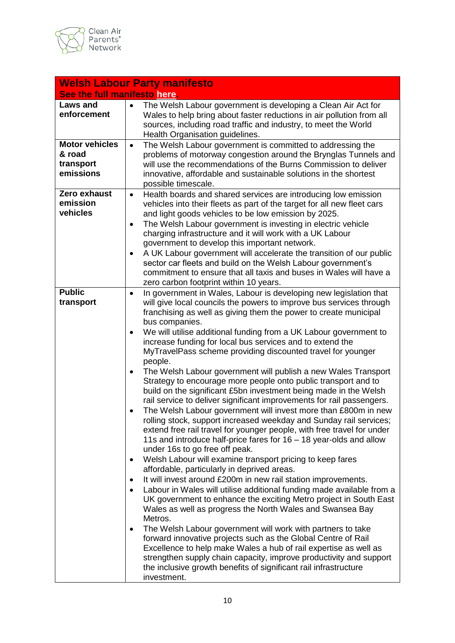

| <b>Welsh Labour Party manifesto</b>                       |                                                                                                                                                                                                                                                                                                                                                                                                           |  |
|-----------------------------------------------------------|-----------------------------------------------------------------------------------------------------------------------------------------------------------------------------------------------------------------------------------------------------------------------------------------------------------------------------------------------------------------------------------------------------------|--|
| See the full manifesto here.                              |                                                                                                                                                                                                                                                                                                                                                                                                           |  |
| <b>Laws and</b><br>enforcement                            | The Welsh Labour government is developing a Clean Air Act for<br>Wales to help bring about faster reductions in air pollution from all<br>sources, including road traffic and industry, to meet the World<br>Health Organisation guidelines.                                                                                                                                                              |  |
| <b>Motor vehicles</b><br>& road<br>transport<br>emissions | The Welsh Labour government is committed to addressing the<br>$\bullet$<br>problems of motorway congestion around the Brynglas Tunnels and<br>will use the recommendations of the Burns Commission to deliver<br>innovative, affordable and sustainable solutions in the shortest<br>possible timescale.                                                                                                  |  |
| Zero exhaust<br>emission<br>vehicles                      | Health boards and shared services are introducing low emission<br>$\bullet$<br>vehicles into their fleets as part of the target for all new fleet cars<br>and light goods vehicles to be low emission by 2025.<br>The Welsh Labour government is investing in electric vehicle<br>$\bullet$<br>charging infrastructure and it will work with a UK Labour<br>government to develop this important network. |  |
|                                                           | A UK Labour government will accelerate the transition of our public<br>sector car fleets and build on the Welsh Labour government's<br>commitment to ensure that all taxis and buses in Wales will have a<br>zero carbon footprint within 10 years.                                                                                                                                                       |  |
| <b>Public</b><br>transport                                | In government in Wales, Labour is developing new legislation that<br>$\bullet$<br>will give local councils the powers to improve bus services through<br>franchising as well as giving them the power to create municipal<br>bus companies.                                                                                                                                                               |  |
|                                                           | We will utilise additional funding from a UK Labour government to<br>$\bullet$<br>increase funding for local bus services and to extend the<br>MyTravelPass scheme providing discounted travel for younger<br>people.                                                                                                                                                                                     |  |
|                                                           | The Welsh Labour government will publish a new Wales Transport<br>٠<br>Strategy to encourage more people onto public transport and to<br>build on the significant £5bn investment being made in the Welsh<br>rail service to deliver significant improvements for rail passengers.                                                                                                                        |  |
|                                                           | The Welsh Labour government will invest more than £800m in new<br>rolling stock, support increased weekday and Sunday rail services;<br>extend free rail travel for younger people, with free travel for under<br>11s and introduce half-price fares for 16 - 18 year-olds and allow<br>under 16s to go free off peak.                                                                                    |  |
|                                                           | Welsh Labour will examine transport pricing to keep fares<br>٠<br>affordable, particularly in deprived areas.<br>It will invest around £200m in new rail station improvements.                                                                                                                                                                                                                            |  |
|                                                           | Labour in Wales will utilise additional funding made available from a<br>UK government to enhance the exciting Metro project in South East<br>Wales as well as progress the North Wales and Swansea Bay<br>Metros.                                                                                                                                                                                        |  |
|                                                           | The Welsh Labour government will work with partners to take<br>$\bullet$<br>forward innovative projects such as the Global Centre of Rail<br>Excellence to help make Wales a hub of rail expertise as well as<br>strengthen supply chain capacity, improve productivity and support<br>the inclusive growth benefits of significant rail infrastructure<br>investment.                                    |  |